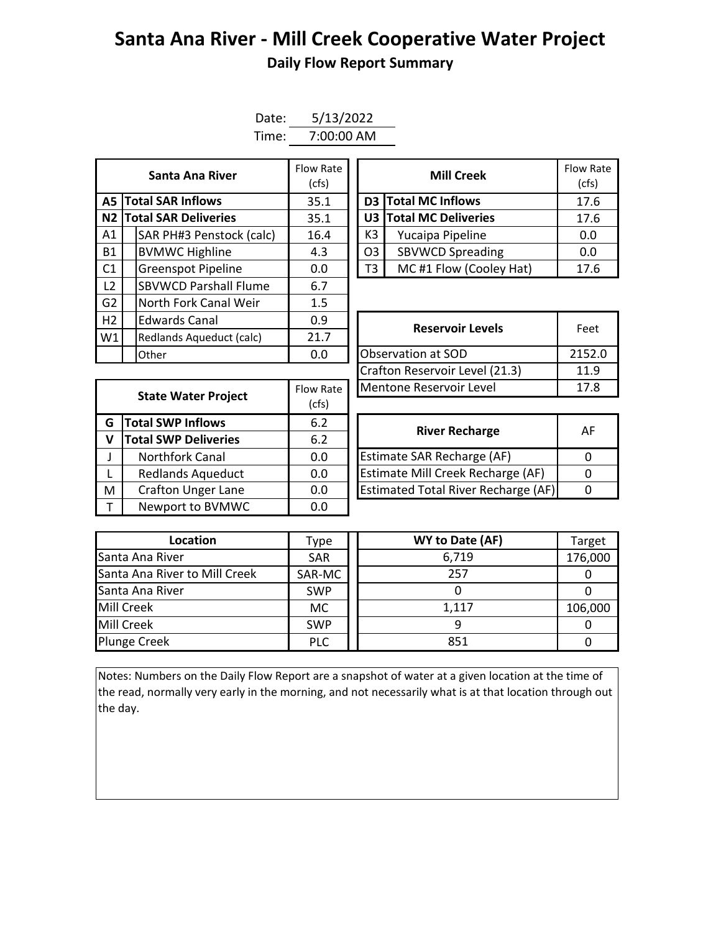## **Santa Ana River - Mill Creek Cooperative Water Project Daily Flow Report Summary**

| Date: | 5/13/2022  |  |  |  |  |  |
|-------|------------|--|--|--|--|--|
| Time: | 7:00:00 AM |  |  |  |  |  |

| Santa Ana River |  | Flow Rate<br>(cfs)           |      |                    | <b>Mill Creek</b> | Flow Ra<br>(cfs)           |      |
|-----------------|--|------------------------------|------|--------------------|-------------------|----------------------------|------|
|                 |  | <b>A5 Total SAR Inflows</b>  | 35.1 |                    |                   | <b>D3</b> Total MC Inflows | 17.6 |
|                 |  | N2 Total SAR Deliveries      | 35.1 |                    |                   | U3 Total MC Deliveries     | 17.6 |
| A1              |  | SAR PH#3 Penstock (calc)     | 16.4 |                    | K3                | Yucaipa Pipeline           | 0.0  |
| <b>B1</b>       |  | <b>BVMWC Highline</b>        | 4.3  |                    | O <sub>3</sub>    | <b>SBVWCD Spreading</b>    | 0.0  |
| C <sub>1</sub>  |  | <b>Greenspot Pipeline</b>    | 0.0  |                    | T3                | MC#1 Flow (Cooley Hat)     | 17.6 |
| L <sub>2</sub>  |  | <b>SBVWCD Parshall Flume</b> | 6.7  |                    |                   |                            |      |
| G <sub>2</sub>  |  | North Fork Canal Weir        | 1.5  |                    |                   |                            |      |
| H2              |  | <b>Edwards Canal</b>         | 0.9  |                    |                   | <b>Reservoir Levels</b>    | Feet |
| W1              |  | Redlands Aqueduct (calc)     | 21.7 |                    |                   |                            |      |
|                 |  | Other                        | 0.0  | Observation at SOD |                   | 2152.                      |      |

| Santa Ana River         | Flow Rate<br>(cfs) |                                           | <b>Flow Rate</b><br>(cfs) |      |
|-------------------------|--------------------|-------------------------------------------|---------------------------|------|
| <b>I SAR Inflows</b>    | 35.1               |                                           | D3 Total MC Inflows       | 17.6 |
| <b>I SAR Deliveries</b> | 35.1               | U3 Total MC Deliveries                    |                           | 17.6 |
| AR PH#3 Penstock (calc) | 16.4               | K3<br>Yucaipa Pipeline                    |                           | 0.0  |
| /MWC Highline           | 4.3                | <b>SBVWCD Spreading</b><br>O <sub>3</sub> |                           | 0.0  |
| reenspot Pipeline       | 0.0                | MC#1 Flow (Cooley Hat)<br>T3              |                           | 17.6 |

| ___________                       | ---       |                                | Feet   |  |
|-----------------------------------|-----------|--------------------------------|--------|--|
| Redlands Aqueduct (calc)<br>Other | 21.7      | <b>Reservoir Levels</b>        |        |  |
| 0.0                               |           | Observation at SOD             | 2152.0 |  |
|                                   |           | Crafton Reservoir Level (21.3) | 11.9   |  |
|                                   | Flow Rate | Mentone Reservoir Level        | 17.8   |  |
| <b>State Water Project</b>        | (cfs)     |                                |        |  |

|   |                                                                                                                      | Flow Rate | Mentone Reservoir Level                    |          |  |  |  |
|---|----------------------------------------------------------------------------------------------------------------------|-----------|--------------------------------------------|----------|--|--|--|
|   |                                                                                                                      | (cfs)     |                                            |          |  |  |  |
| G | <b>State Water Project</b><br><b>Total SWP Inflows</b><br><b>Total SWP Deliveries</b><br>v<br><b>Northfork Canal</b> |           | <b>River Recharge</b>                      | A        |  |  |  |
|   |                                                                                                                      | 6.2       |                                            |          |  |  |  |
|   |                                                                                                                      | 0.0       | Estimate SAR Recharge (AF)                 | $\Omega$ |  |  |  |
|   | <b>Redlands Aqueduct</b>                                                                                             | 0.0       | Estimate Mill Creek Recharge (AF)          | $\Omega$ |  |  |  |
| M | <b>Crafton Unger Lane</b>                                                                                            | 0.0       | <b>Estimated Total River Recharge (AF)</b> | 0        |  |  |  |
|   | Newport to BVMWC                                                                                                     | 0.0       |                                            |          |  |  |  |

| <b>River Recharge</b>                      | AF |
|--------------------------------------------|----|
| Estimate SAR Recharge (AF)                 |    |
| Estimate Mill Creek Recharge (AF)          |    |
| <b>Estimated Total River Recharge (AF)</b> |    |

| Location                      | <b>Type</b> | WY to Date (AF) | Target  |
|-------------------------------|-------------|-----------------|---------|
| Santa Ana River               | <b>SAR</b>  | 6,719           | 176,000 |
| Santa Ana River to Mill Creek | SAR-MC      | 257             |         |
| Santa Ana River               | <b>SWP</b>  |                 |         |
| Mill Creek                    | МC          | 1.117           | 106,000 |
| Mill Creek                    | <b>SWP</b>  |                 |         |
| <b>Plunge Creek</b>           | <b>PLC</b>  | 851             |         |

Notes: Numbers on the Daily Flow Report are a snapshot of water at a given location at the time of the read, normally very early in the morning, and not necessarily what is at that location through out the day.